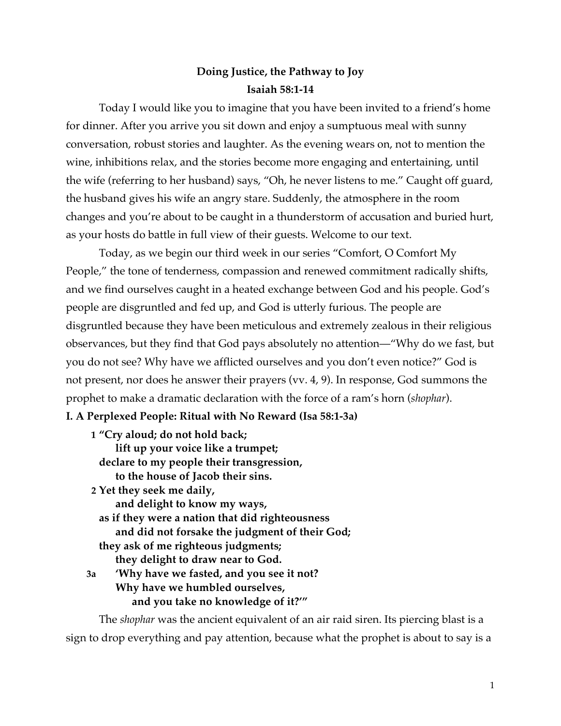# **Doing Justice, the Pathway to Joy Isaiah 58:1-14**

Today I would like you to imagine that you have been invited to a friend's home for dinner. After you arrive you sit down and enjoy a sumptuous meal with sunny conversation, robust stories and laughter. As the evening wears on, not to mention the wine, inhibitions relax, and the stories become more engaging and entertaining, until the wife (referring to her husband) says, "Oh, he never listens to me." Caught off guard, the husband gives his wife an angry stare. Suddenly, the atmosphere in the room changes and you're about to be caught in a thunderstorm of accusation and buried hurt, as your hosts do battle in full view of their guests. Welcome to our text.

Today, as we begin our third week in our series "Comfort, O Comfort My People," the tone of tenderness, compassion and renewed commitment radically shifts, and we find ourselves caught in a heated exchange between God and his people. God's people are disgruntled and fed up, and God is utterly furious. The people are disgruntled because they have been meticulous and extremely zealous in their religious observances, but they find that God pays absolutely no attention—"Why do we fast, but you do not see? Why have we afflicted ourselves and you don't even notice?" God is not present, nor does he answer their prayers (vv. 4, 9). In response, God summons the prophet to make a dramatic declaration with the force of a ram's horn (*shophar*).

## **I. A Perplexed People: Ritual with No Reward (Isa 58:1-3a)**

| 1 "Cry aloud; do not hold back;                 |                                                |
|-------------------------------------------------|------------------------------------------------|
|                                                 | lift up your voice like a trumpet;             |
| declare to my people their transgression,       |                                                |
|                                                 | to the house of Jacob their sins.              |
| 2 Yet they seek me daily,                       |                                                |
| and delight to know my ways,                    |                                                |
| as if they were a nation that did righteousness |                                                |
|                                                 | and did not forsake the judgment of their God; |
| they ask of me righteous judgments;             |                                                |
|                                                 | they delight to draw near to God.              |
| 3a                                              | 'Why have we fasted, and you see it not?       |
|                                                 | Why have we humbled ourselves,                 |
|                                                 | and you take no knowledge of it?"              |
|                                                 |                                                |

The *shophar* was the ancient equivalent of an air raid siren. Its piercing blast is a sign to drop everything and pay attention, because what the prophet is about to say is a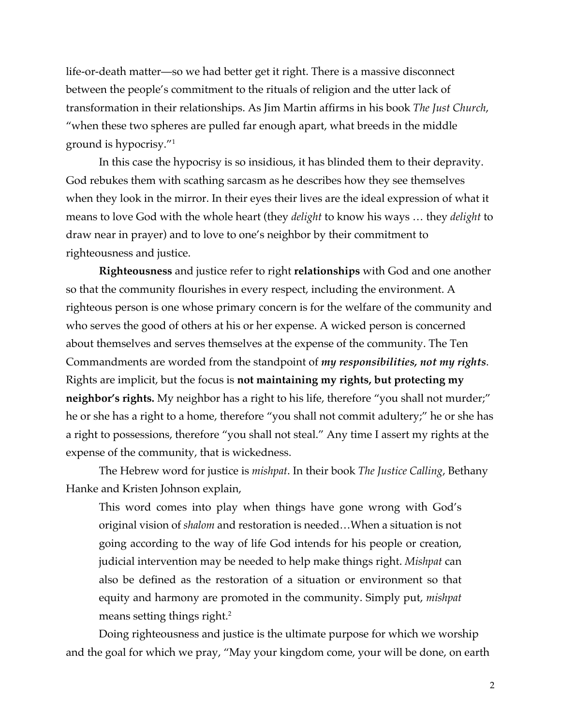life-or-death matter—so we had better get it right. There is a massive disconnect between the people's commitment to the rituals of religion and the utter lack of transformation in their relationships. As Jim Martin affirms in his book *The Just Church*, "when these two spheres are pulled far enough apart, what breeds in the middle ground is hypocrisy."1

In this case the hypocrisy is so insidious, it has blinded them to their depravity. God rebukes them with scathing sarcasm as he describes how they see themselves when they look in the mirror. In their eyes their lives are the ideal expression of what it means to love God with the whole heart (they *delight* to know his ways … they *delight* to draw near in prayer) and to love to one's neighbor by their commitment to righteousness and justice.

**Righteousness** and justice refer to right **relationships** with God and one another so that the community flourishes in every respect, including the environment. A righteous person is one whose primary concern is for the welfare of the community and who serves the good of others at his or her expense. A wicked person is concerned about themselves and serves themselves at the expense of the community. The Ten Commandments are worded from the standpoint of *my responsibilities, not my rights*. Rights are implicit, but the focus is **not maintaining my rights, but protecting my neighbor's rights.** My neighbor has a right to his life, therefore "you shall not murder;" he or she has a right to a home, therefore "you shall not commit adultery;" he or she has a right to possessions, therefore "you shall not steal." Any time I assert my rights at the expense of the community, that is wickedness.

The Hebrew word for justice is *mishpat*. In their book *The Justice Calling*, Bethany Hanke and Kristen Johnson explain,

This word comes into play when things have gone wrong with God's original vision of *shalom* and restoration is needed…When a situation is not going according to the way of life God intends for his people or creation, judicial intervention may be needed to help make things right. *Mishpat* can also be defined as the restoration of a situation or environment so that equity and harmony are promoted in the community. Simply put, *mishpat* means setting things right.<sup>2</sup>

Doing righteousness and justice is the ultimate purpose for which we worship and the goal for which we pray, "May your kingdom come, your will be done, on earth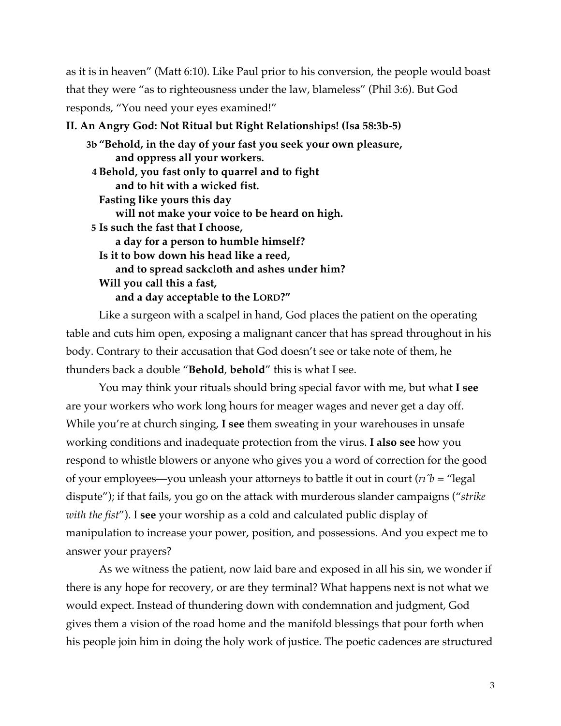as it is in heaven" (Matt 6:10). Like Paul prior to his conversion, the people would boast that they were "as to righteousness under the law, blameless" (Phil 3:6). But God responds, "You need your eyes examined!"

#### **II. An Angry God: Not Ritual but Right Relationships! (Isa 58:3b-5)**

| 3b "Behold, in the day of your fast you seek your own pleasure, |
|-----------------------------------------------------------------|
| and oppress all your workers.                                   |
| 4 Behold, you fast only to quarrel and to fight                 |
| and to hit with a wicked fist.                                  |
| Fasting like yours this day                                     |
| will not make your voice to be heard on high.                   |
| 5 Is such the fast that I choose,                               |
| a day for a person to humble himself?                           |
| Is it to bow down his head like a reed,                         |
| and to spread sackcloth and ashes under him?                    |
| Will you call this a fast,                                      |
| and a day acceptable to the LORD?"                              |
|                                                                 |

Like a surgeon with a scalpel in hand, God places the patient on the operating table and cuts him open, exposing a malignant cancer that has spread throughout in his body. Contrary to their accusation that God doesn't see or take note of them, he thunders back a double "**Behold**, **behold**" this is what I see.

You may think your rituals should bring special favor with me, but what **I see** are your workers who work long hours for meager wages and never get a day off. While you're at church singing, **I see** them sweating in your warehouses in unsafe working conditions and inadequate protection from the virus. **I also see** how you respond to whistle blowers or anyone who gives you a word of correction for the good of your employees—you unleash your attorneys to battle it out in court ( $n\hat{b}$  = "legal") dispute"); if that fails, you go on the attack with murderous slander campaigns ("*strike with the fist*"). I **see** your worship as a cold and calculated public display of manipulation to increase your power, position, and possessions. And you expect me to answer your prayers?

As we witness the patient, now laid bare and exposed in all his sin, we wonder if there is any hope for recovery, or are they terminal? What happens next is not what we would expect. Instead of thundering down with condemnation and judgment, God gives them a vision of the road home and the manifold blessings that pour forth when his people join him in doing the holy work of justice. The poetic cadences are structured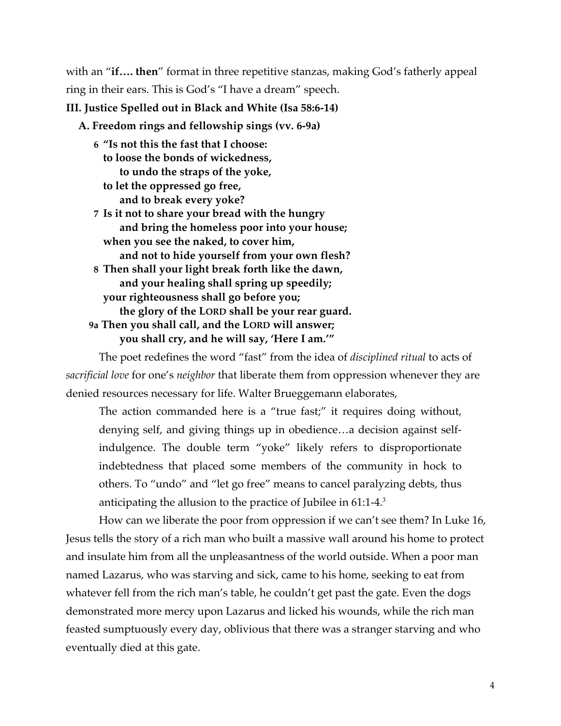with an "**if.... then**" format in three repetitive stanzas, making God's fatherly appeal ring in their ears. This is God's "I have a dream" speech.

### **III. Justice Spelled out in Black and White (Isa 58:6-14)**

**A. Freedom rings and fellowship sings (vv. 6-9a)**

- **6 "Is not this the fast that I choose: to loose the bonds of wickedness, to undo the straps of the yoke,**
	- **to let the oppressed go free, and to break every yoke?**

 **7 Is it not to share your bread with the hungry and bring the homeless poor into your house; when you see the naked, to cover him, and not to hide yourself from your own flesh? 8 Then shall your light break forth like the dawn, and your healing shall spring up speedily; your righteousness shall go before you; the glory of the LORD shall be your rear guard. 9a Then you shall call, and the LORD will answer; you shall cry, and he will say, 'Here I am.'"**

The poet redefines the word "fast" from the idea of *disciplined ritual* to acts of *sacrificial love* for one's *neighbor* that liberate them from oppression whenever they are denied resources necessary for life. Walter Brueggemann elaborates,

The action commanded here is a "true fast;" it requires doing without, denying self, and giving things up in obedience…a decision against selfindulgence. The double term "yoke" likely refers to disproportionate indebtedness that placed some members of the community in hock to others. To "undo" and "let go free" means to cancel paralyzing debts, thus anticipating the allusion to the practice of Jubilee in 61:1-4.3

How can we liberate the poor from oppression if we can't see them? In Luke 16, Jesus tells the story of a rich man who built a massive wall around his home to protect and insulate him from all the unpleasantness of the world outside. When a poor man named Lazarus, who was starving and sick, came to his home, seeking to eat from whatever fell from the rich man's table, he couldn't get past the gate. Even the dogs demonstrated more mercy upon Lazarus and licked his wounds, while the rich man feasted sumptuously every day, oblivious that there was a stranger starving and who eventually died at this gate.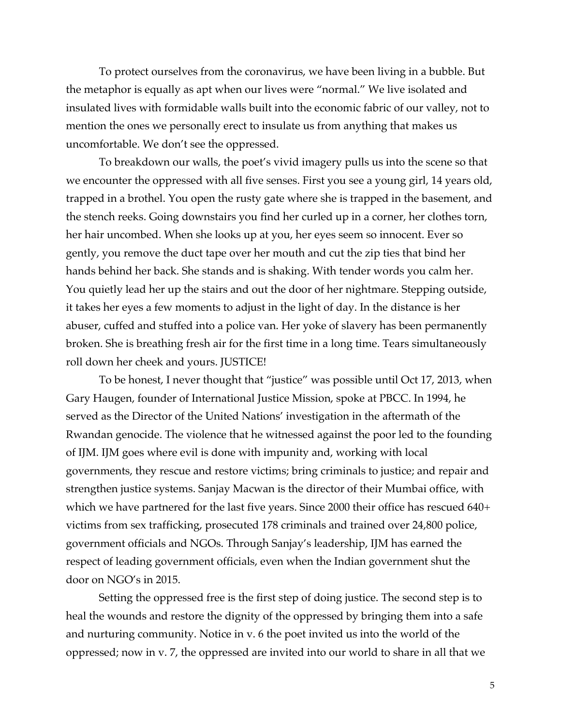To protect ourselves from the coronavirus, we have been living in a bubble. But the metaphor is equally as apt when our lives were "normal." We live isolated and insulated lives with formidable walls built into the economic fabric of our valley, not to mention the ones we personally erect to insulate us from anything that makes us uncomfortable. We don't see the oppressed.

To breakdown our walls, the poet's vivid imagery pulls us into the scene so that we encounter the oppressed with all five senses. First you see a young girl, 14 years old, trapped in a brothel. You open the rusty gate where she is trapped in the basement, and the stench reeks. Going downstairs you find her curled up in a corner, her clothes torn, her hair uncombed. When she looks up at you, her eyes seem so innocent. Ever so gently, you remove the duct tape over her mouth and cut the zip ties that bind her hands behind her back. She stands and is shaking. With tender words you calm her. You quietly lead her up the stairs and out the door of her nightmare. Stepping outside, it takes her eyes a few moments to adjust in the light of day. In the distance is her abuser, cuffed and stuffed into a police van. Her yoke of slavery has been permanently broken. She is breathing fresh air for the first time in a long time. Tears simultaneously roll down her cheek and yours. JUSTICE!

To be honest, I never thought that "justice" was possible until Oct 17, 2013, when Gary Haugen, founder of International Justice Mission, spoke at PBCC. In 1994, he served as the Director of the United Nations' investigation in the aftermath of the Rwandan genocide. The violence that he witnessed against the poor led to the founding of IJM. IJM goes where evil is done with impunity and, working with local governments, they rescue and restore victims; bring criminals to justice; and repair and strengthen justice systems. Sanjay Macwan is the director of their Mumbai office, with which we have partnered for the last five years. Since 2000 their office has rescued 640+ victims from sex trafficking, prosecuted 178 criminals and trained over 24,800 police, government officials and NGOs. Through Sanjay's leadership, IJM has earned the respect of leading government officials, even when the Indian government shut the door on NGO's in 2015.

Setting the oppressed free is the first step of doing justice. The second step is to heal the wounds and restore the dignity of the oppressed by bringing them into a safe and nurturing community. Notice in v. 6 the poet invited us into the world of the oppressed; now in v. 7, the oppressed are invited into our world to share in all that we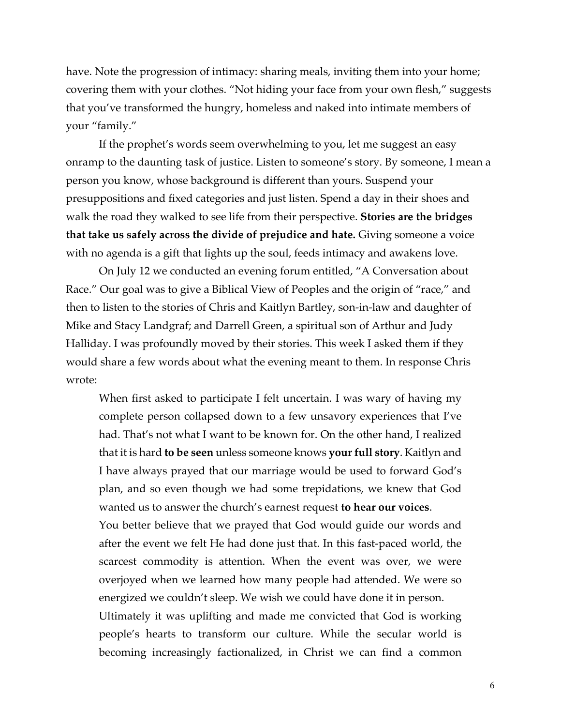have. Note the progression of intimacy: sharing meals, inviting them into your home; covering them with your clothes. "Not hiding your face from your own flesh," suggests that you've transformed the hungry, homeless and naked into intimate members of your "family."

If the prophet's words seem overwhelming to you, let me suggest an easy onramp to the daunting task of justice. Listen to someone's story. By someone, I mean a person you know, whose background is different than yours. Suspend your presuppositions and fixed categories and just listen. Spend a day in their shoes and walk the road they walked to see life from their perspective. **Stories are the bridges that take us safely across the divide of prejudice and hate.** Giving someone a voice with no agenda is a gift that lights up the soul, feeds intimacy and awakens love.

On July 12 we conducted an evening forum entitled, "A Conversation about Race." Our goal was to give a Biblical View of Peoples and the origin of "race," and then to listen to the stories of Chris and Kaitlyn Bartley, son-in-law and daughter of Mike and Stacy Landgraf; and Darrell Green, a spiritual son of Arthur and Judy Halliday. I was profoundly moved by their stories. This week I asked them if they would share a few words about what the evening meant to them. In response Chris wrote:

When first asked to participate I felt uncertain. I was wary of having my complete person collapsed down to a few unsavory experiences that I've had. That's not what I want to be known for. On the other hand, I realized that it is hard **to be seen** unless someone knows **your full story**. Kaitlyn and I have always prayed that our marriage would be used to forward God's plan, and so even though we had some trepidations, we knew that God wanted us to answer the church's earnest request **to hear our voices**.

You better believe that we prayed that God would guide our words and after the event we felt He had done just that. In this fast-paced world, the scarcest commodity is attention. When the event was over, we were overjoyed when we learned how many people had attended. We were so energized we couldn't sleep. We wish we could have done it in person.

Ultimately it was uplifting and made me convicted that God is working people's hearts to transform our culture. While the secular world is becoming increasingly factionalized, in Christ we can find a common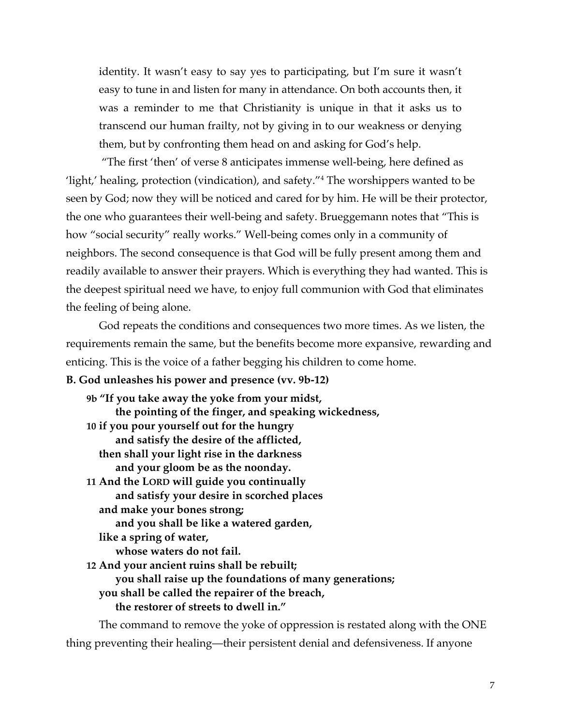identity. It wasn't easy to say yes to participating, but I'm sure it wasn't easy to tune in and listen for many in attendance. On both accounts then, it was a reminder to me that Christianity is unique in that it asks us to transcend our human frailty, not by giving in to our weakness or denying them, but by confronting them head on and asking for God's help.

"The first 'then' of verse 8 anticipates immense well-being, here defined as 'light,' healing, protection (vindication), and safety."4 The worshippers wanted to be seen by God; now they will be noticed and cared for by him. He will be their protector, the one who guarantees their well-being and safety. Brueggemann notes that "This is how "social security" really works." Well-being comes only in a community of neighbors. The second consequence is that God will be fully present among them and readily available to answer their prayers. Which is everything they had wanted. This is the deepest spiritual need we have, to enjoy full communion with God that eliminates the feeling of being alone.

God repeats the conditions and consequences two more times. As we listen, the requirements remain the same, but the benefits become more expansive, rewarding and enticing. This is the voice of a father begging his children to come home.

#### **B. God unleashes his power and presence (vv. 9b-12)**

**9b "If you take away the yoke from your midst, the pointing of the finger, and speaking wickedness, 10 if you pour yourself out for the hungry and satisfy the desire of the afflicted, then shall your light rise in the darkness and your gloom be as the noonday. 11 And the LORD will guide you continually and satisfy your desire in scorched places and make your bones strong; and you shall be like a watered garden, like a spring of water, whose waters do not fail. 12 And your ancient ruins shall be rebuilt; you shall raise up the foundations of many generations; you shall be called the repairer of the breach, the restorer of streets to dwell in."**

The command to remove the yoke of oppression is restated along with the ONE thing preventing their healing—their persistent denial and defensiveness. If anyone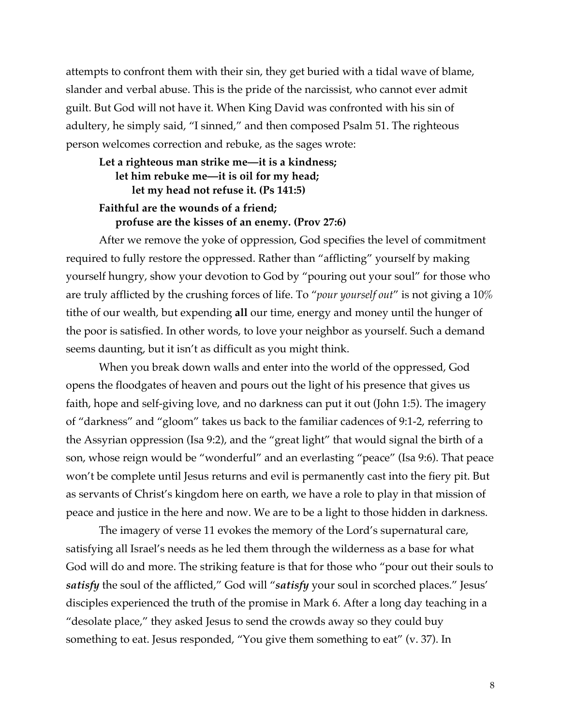attempts to confront them with their sin, they get buried with a tidal wave of blame, slander and verbal abuse. This is the pride of the narcissist, who cannot ever admit guilt. But God will not have it. When King David was confronted with his sin of adultery, he simply said, "I sinned," and then composed Psalm 51. The righteous person welcomes correction and rebuke, as the sages wrote:

## **Let a righteous man strike me—it is a kindness; let him rebuke me—it is oil for my head; let my head not refuse it. (Ps 141:5) Faithful are the wounds of a friend;**

#### **profuse are the kisses of an enemy. (Prov 27:6)**

After we remove the yoke of oppression, God specifies the level of commitment required to fully restore the oppressed. Rather than "afflicting" yourself by making yourself hungry, show your devotion to God by "pouring out your soul" for those who are truly afflicted by the crushing forces of life. To "*pour yourself out*" is not giving a 10% tithe of our wealth, but expending **all** our time, energy and money until the hunger of the poor is satisfied. In other words, to love your neighbor as yourself. Such a demand seems daunting, but it isn't as difficult as you might think.

When you break down walls and enter into the world of the oppressed, God opens the floodgates of heaven and pours out the light of his presence that gives us faith, hope and self-giving love, and no darkness can put it out (John 1:5). The imagery of "darkness" and "gloom" takes us back to the familiar cadences of 9:1-2, referring to the Assyrian oppression (Isa 9:2), and the "great light" that would signal the birth of a son, whose reign would be "wonderful" and an everlasting "peace" (Isa 9:6). That peace won't be complete until Jesus returns and evil is permanently cast into the fiery pit. But as servants of Christ's kingdom here on earth, we have a role to play in that mission of peace and justice in the here and now. We are to be a light to those hidden in darkness.

The imagery of verse 11 evokes the memory of the Lord's supernatural care, satisfying all Israel's needs as he led them through the wilderness as a base for what God will do and more. The striking feature is that for those who "pour out their souls to *satisfy* the soul of the afflicted," God will "*satisfy* your soul in scorched places." Jesus' disciples experienced the truth of the promise in Mark 6. After a long day teaching in a "desolate place," they asked Jesus to send the crowds away so they could buy something to eat. Jesus responded, "You give them something to eat" (v. 37). In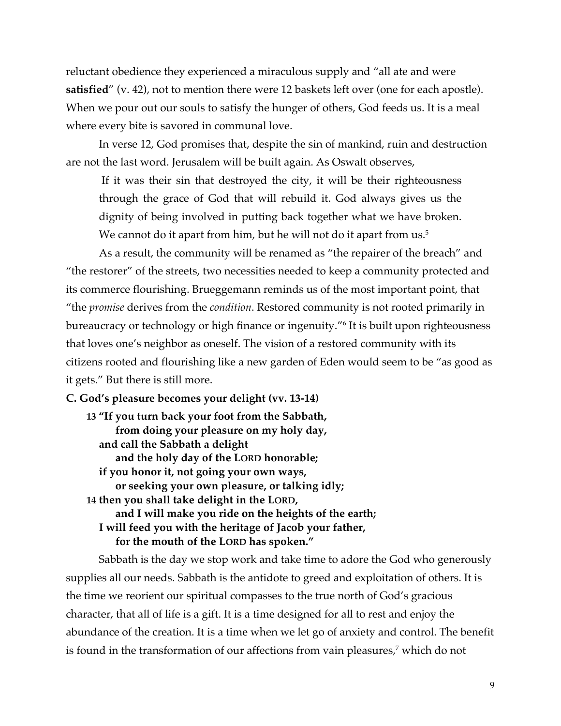reluctant obedience they experienced a miraculous supply and "all ate and were **satisfied**" (v. 42), not to mention there were 12 baskets left over (one for each apostle). When we pour out our souls to satisfy the hunger of others, God feeds us. It is a meal where every bite is savored in communal love.

In verse 12, God promises that, despite the sin of mankind, ruin and destruction are not the last word. Jerusalem will be built again. As Oswalt observes,

If it was their sin that destroyed the city, it will be their righteousness through the grace of God that will rebuild it. God always gives us the dignity of being involved in putting back together what we have broken. We cannot do it apart from him, but he will not do it apart from us.<sup>5</sup>

As a result, the community will be renamed as "the repairer of the breach" and "the restorer" of the streets, two necessities needed to keep a community protected and its commerce flourishing. Brueggemann reminds us of the most important point, that "the *promise* derives from the *condition*. Restored community is not rooted primarily in bureaucracy or technology or high finance or ingenuity."6 It is built upon righteousness that loves one's neighbor as oneself. The vision of a restored community with its citizens rooted and flourishing like a new garden of Eden would seem to be "as good as it gets." But there is still more.

**C. God's pleasure becomes your delight (vv. 13-14)**

**13 "If you turn back your foot from the Sabbath, from doing your pleasure on my holy day, and call the Sabbath a delight and the holy day of the LORD honorable; if you honor it, not going your own ways, or seeking your own pleasure, or talking idly; 14 then you shall take delight in the LORD, and I will make you ride on the heights of the earth; I will feed you with the heritage of Jacob your father, for the mouth of the LORD has spoken."**

Sabbath is the day we stop work and take time to adore the God who generously supplies all our needs. Sabbath is the antidote to greed and exploitation of others. It is the time we reorient our spiritual compasses to the true north of God's gracious character, that all of life is a gift. It is a time designed for all to rest and enjoy the abundance of the creation. It is a time when we let go of anxiety and control. The benefit is found in the transformation of our affections from vain pleasures, <sup>7</sup> which do not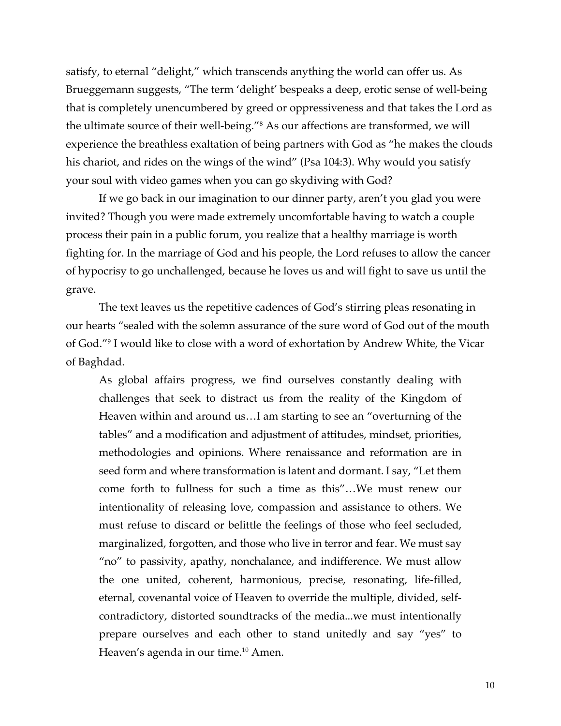satisfy, to eternal "delight," which transcends anything the world can offer us. As Brueggemann suggests, "The term 'delight' bespeaks a deep, erotic sense of well-being that is completely unencumbered by greed or oppressiveness and that takes the Lord as the ultimate source of their well-being."8 As our affections are transformed, we will experience the breathless exaltation of being partners with God as "he makes the clouds his chariot, and rides on the wings of the wind" (Psa 104:3). Why would you satisfy your soul with video games when you can go skydiving with God?

If we go back in our imagination to our dinner party, aren't you glad you were invited? Though you were made extremely uncomfortable having to watch a couple process their pain in a public forum, you realize that a healthy marriage is worth fighting for. In the marriage of God and his people, the Lord refuses to allow the cancer of hypocrisy to go unchallenged, because he loves us and will fight to save us until the grave.

 The text leaves us the repetitive cadences of God's stirring pleas resonating in our hearts "sealed with the solemn assurance of the sure word of God out of the mouth of God."9 I would like to close with a word of exhortation by Andrew White, the Vicar of Baghdad.

As global affairs progress, we find ourselves constantly dealing with challenges that seek to distract us from the reality of the Kingdom of Heaven within and around us…I am starting to see an "overturning of the tables" and a modification and adjustment of attitudes, mindset, priorities, methodologies and opinions. Where renaissance and reformation are in seed form and where transformation is latent and dormant. I say, "Let them come forth to fullness for such a time as this"…We must renew our intentionality of releasing love, compassion and assistance to others. We must refuse to discard or belittle the feelings of those who feel secluded, marginalized, forgotten, and those who live in terror and fear. We must say "no" to passivity, apathy, nonchalance, and indifference. We must allow the one united, coherent, harmonious, precise, resonating, life-filled, eternal, covenantal voice of Heaven to override the multiple, divided, selfcontradictory, distorted soundtracks of the media...we must intentionally prepare ourselves and each other to stand unitedly and say "yes" to Heaven's agenda in our time.<sup>10</sup> Amen.